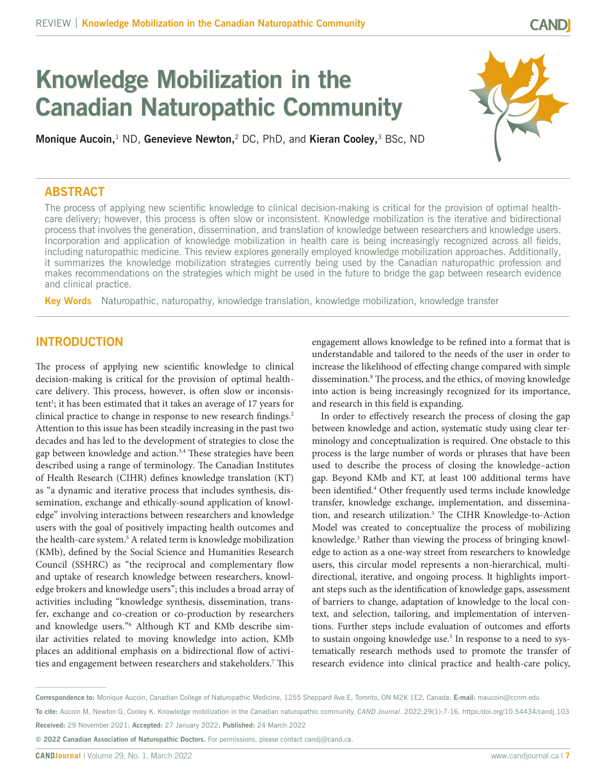# **Knowledge Mobilization in the Canadian Naturopathic Community**

**Monique Aucoin,**1 ND, **Genevieve Newton,**2 DC, PhD, and **Kieran Cooley,**3 BSc, ND

# **ABSTRACT**

The process of applying new scientific knowledge to clinical decision-making is critical for the provision of optimal healthcare delivery; however, this process is often slow or inconsistent. Knowledge mobilization is the iterative and bidirectional process that involves the generation, dissemination, and translation of knowledge between researchers and knowledge users. Incorporation and application of knowledge mobilization in health care is being increasingly recognized across all fields, including naturopathic medicine. This review explores generally employed knowledge mobilization approaches. Additionally, it summarizes the knowledge mobilization strategies currently being used by the Canadian naturopathic profession and makes recommendations on the strategies which might be used in the future to bridge the gap between research evidence and clinical practice.

**Key Words** Naturopathic, naturopathy, knowledge translation, knowledge mobilization, knowledge transfer

# **INTRODUCTION**

The process of applying new scientific knowledge to clinical decision-making is critical for the provision of optimal healthcare delivery. This process, however, is often slow or inconsistent<sup>1</sup>; it has been estimated that it takes an average of 17 years for clinical practice to change in response to new research findings.<sup>2</sup> Attention to this issue has been steadily increasing in the past two decades and has led to the development of strategies to close the gap between knowledge and action.<sup>3,4</sup> These strategies have been described using a range of terminology. The Canadian Institutes of Health Research (CIHR) defines knowledge translation (KT) as "a dynamic and iterative process that includes synthesis, dissemination, exchange and ethically-sound application of knowledge" involving interactions between researchers and knowledge users with the goal of positively impacting health outcomes and the health-care system.<sup>5</sup> A related term is knowledge mobilization (KMb), defined by the Social Science and Humanities Research Council (SSHRC) as "the reciprocal and complementary flow and uptake of research knowledge between researchers, knowledge brokers and knowledge users"; this includes a broad array of activities including "knowledge synthesis, dissemination, transfer, exchange and co-creation or co-production by researchers and knowledge users."6 Although KT and KMb describe similar activities related to moving knowledge into action, KMb places an additional emphasis on a bidirectional flow of activities and engagement between researchers and stakeholders.<sup>7</sup> This engagement allows knowledge to be refined into a format that is understandable and tailored to the needs of the user in order to increase the likelihood of effecting change compared with simple dissemination.8 The process, and the ethics, of moving knowledge into action is being increasingly recognized for its importance, and research in this field is expanding.

In order to effectively research the process of closing the gap between knowledge and action, systematic study using clear terminology and conceptualization is required. One obstacle to this process is the large number of words or phrases that have been used to describe the process of closing the knowledge–action gap. Beyond KMb and KT, at least 100 additional terms have been identified.4 Other frequently used terms include knowledge transfer, knowledge exchange, implementation, and dissemination, and research utilization.<sup>3</sup> The CIHR Knowledge-to-Action Model was created to conceptualize the process of mobilizing knowledge.<sup>3</sup> Rather than viewing the process of bringing knowledge to action as a one-way street from researchers to knowledge users, this circular model represents a non-hierarchical, multidirectional, iterative, and ongoing process. It highlights important steps such as the identification of knowledge gaps, assessment of barriers to change, adaptation of knowledge to the local context, and selection, tailoring, and implementation of interventions. Further steps include evaluation of outcomes and efforts to sustain ongoing knowledge use.3 In response to a need to systematically research methods used to promote the transfer of research evidence into clinical practice and health-care policy,

**Correspondence to:** Monique Aucoin, Canadian College of Naturopathic Medicine, 1255 Sheppard Ave E, Toronto, ON M2K 1E2, Canada. **E-mail:** [maucoin@ccnm.edu](mailto:maucoin@ccnm.edu)

**To cite:** Aucoin M, Newton G, Cooley K. Knowledge mobilization in the Canadian naturopathic community. *CAND Journal*. 2022;29(1):7-16. <https:/doi.org/10.54434/candj.103> **Received:** 29 November 2021; **Accepted:** 27 January 2022; **Published:** 24 March 2022

**<sup>© 2022</sup> Canadian Association of Naturopathic Doctors.** For permissions, please contact [candj@cand.ca](mailto:candj@cand.ca).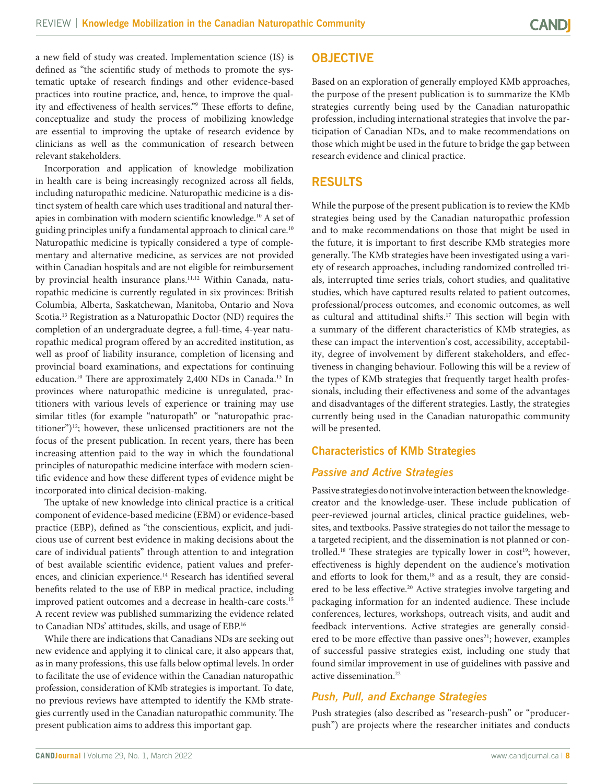a new field of study was created. Implementation science (IS) is defined as "the scientific study of methods to promote the systematic uptake of research findings and other evidence-based practices into routine practice, and, hence, to improve the quality and effectiveness of health services."9 These efforts to define, conceptualize and study the process of mobilizing knowledge are essential to improving the uptake of research evidence by clinicians as well as the communication of research between relevant stakeholders.

Incorporation and application of knowledge mobilization in health care is being increasingly recognized across all fields, including naturopathic medicine. Naturopathic medicine is a distinct system of health care which uses traditional and natural therapies in combination with modern scientific knowledge.10 A set of guiding principles unify a fundamental approach to clinical care.<sup>10</sup> Naturopathic medicine is typically considered a type of complementary and alternative medicine, as services are not provided within Canadian hospitals and are not eligible for reimbursement by provincial health insurance plans.<sup>11,12</sup> Within Canada, naturopathic medicine is currently regulated in six provinces: British Columbia, Alberta, Saskatchewan, Manitoba, Ontario and Nova Scotia.13 Registration as a Naturopathic Doctor (ND) requires the completion of an undergraduate degree, a full-time, 4-year naturopathic medical program offered by an accredited institution, as well as proof of liability insurance, completion of licensing and provincial board examinations, and expectations for continuing education.<sup>10</sup> There are approximately 2,400 NDs in Canada.<sup>13</sup> In provinces where naturopathic medicine is unregulated, practitioners with various levels of experience or training may use similar titles (for example "naturopath" or "naturopathic practitioner")12; however, these unlicensed practitioners are not the focus of the present publication. In recent years, there has been increasing attention paid to the way in which the foundational principles of naturopathic medicine interface with modern scientific evidence and how these different types of evidence might be incorporated into clinical decision-making.

The uptake of new knowledge into clinical practice is a critical component of evidence-based medicine (EBM) or evidence-based practice (EBP), defined as "the conscientious, explicit, and judicious use of current best evidence in making decisions about the care of individual patients" through attention to and integration of best available scientific evidence, patient values and preferences, and clinician experience.<sup>14</sup> Research has identified several benefits related to the use of EBP in medical practice, including improved patient outcomes and a decrease in health-care costs.15 A recent review was published summarizing the evidence related to Canadian NDs' attitudes, skills, and usage of EBP.16

While there are indications that Canadians NDs are seeking out new evidence and applying it to clinical care, it also appears that, as in many professions, this use falls below optimal levels. In order to facilitate the use of evidence within the Canadian naturopathic profession, consideration of KMb strategies is important. To date, no previous reviews have attempted to identify the KMb strategies currently used in the Canadian naturopathic community. The present publication aims to address this important gap.

# **OBJECTIVE**

Based on an exploration of generally employed KMb approaches, the purpose of the present publication is to summarize the KMb strategies currently being used by the Canadian naturopathic profession, including international strategies that involve the participation of Canadian NDs, and to make recommendations on those which might be used in the future to bridge the gap between research evidence and clinical practice.

## **RESULTS**

While the purpose of the present publication is to review the KMb strategies being used by the Canadian naturopathic profession and to make recommendations on those that might be used in the future, it is important to first describe KMb strategies more generally. The KMb strategies have been investigated using a variety of research approaches, including randomized controlled trials, interrupted time series trials, cohort studies, and qualitative studies, which have captured results related to patient outcomes, professional/process outcomes, and economic outcomes, as well as cultural and attitudinal shifts.17 This section will begin with a summary of the different characteristics of KMb strategies, as these can impact the intervention's cost, accessibility, acceptability, degree of involvement by different stakeholders, and effectiveness in changing behaviour. Following this will be a review of the types of KMb strategies that frequently target health professionals, including their effectiveness and some of the advantages and disadvantages of the different strategies. Lastly, the strategies currently being used in the Canadian naturopathic community will be presented.

## **Characteristics of KMb Strategies**

## *Passive and Active Strategies*

Passive strategies do not involve interaction between the knowledgecreator and the knowledge-user. These include publication of peer-reviewed journal articles, clinical practice guidelines, websites, and textbooks. Passive strategies do not tailor the message to a targeted recipient, and the dissemination is not planned or controlled.<sup>18</sup> These strategies are typically lower in cost<sup>19</sup>; however, effectiveness is highly dependent on the audience's motivation and efforts to look for them,<sup>18</sup> and as a result, they are considered to be less effective.<sup>20</sup> Active strategies involve targeting and packaging information for an indented audience. These include conferences, lectures, workshops, outreach visits, and audit and feedback interventions. Active strategies are generally considered to be more effective than passive ones<sup>21</sup>; however, examples of successful passive strategies exist, including one study that found similar improvement in use of guidelines with passive and active dissemination.<sup>22</sup>

# *Push, Pull, and Exchange Strategies*

Push strategies (also described as "research-push" or "producerpush") are projects where the researcher initiates and conducts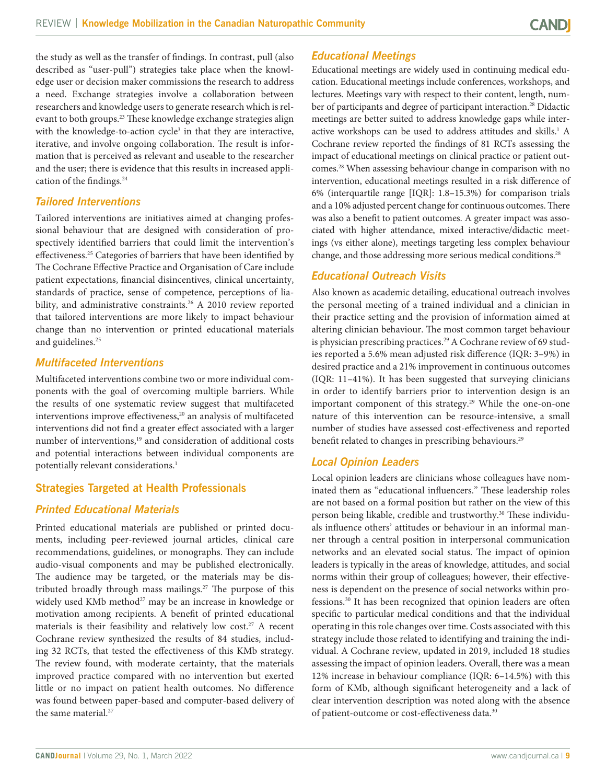the study as well as the transfer of findings. In contrast, pull (also described as "user-pull") strategies take place when the knowledge user or decision maker commissions the research to address a need. Exchange strategies involve a collaboration between researchers and knowledge users to generate research which is relevant to both groups.<sup>23</sup> These knowledge exchange strategies align with the knowledge-to-action cycle<sup>3</sup> in that they are interactive, iterative, and involve ongoing collaboration. The result is information that is perceived as relevant and useable to the researcher and the user; there is evidence that this results in increased application of the findings.24

#### *Tailored Interventions*

Tailored interventions are initiatives aimed at changing professional behaviour that are designed with consideration of prospectively identified barriers that could limit the intervention's effectiveness.<sup>25</sup> Categories of barriers that have been identified by The Cochrane Effective Practice and Organisation of Care include patient expectations, financial disincentives, clinical uncertainty, standards of practice, sense of competence, perceptions of liability, and administrative constraints.<sup>26</sup> A 2010 review reported that tailored interventions are more likely to impact behaviour change than no intervention or printed educational materials and guidelines.<sup>25</sup>

#### *Multifaceted Interventions*

Multifaceted interventions combine two or more individual components with the goal of overcoming multiple barriers. While the results of one systematic review suggest that multifaceted interventions improve effectiveness,<sup>20</sup> an analysis of multifaceted interventions did not find a greater effect associated with a larger number of interventions,<sup>19</sup> and consideration of additional costs and potential interactions between individual components are potentially relevant considerations.<sup>1</sup>

## **Strategies Targeted at Health Professionals**

## *Printed Educational Materials*

Printed educational materials are published or printed documents, including peer-reviewed journal articles, clinical care recommendations, guidelines, or monographs. They can include audio-visual components and may be published electronically. The audience may be targeted, or the materials may be distributed broadly through mass mailings.<sup>27</sup> The purpose of this widely used KMb method<sup>27</sup> may be an increase in knowledge or motivation among recipients. A benefit of printed educational materials is their feasibility and relatively low cost.<sup>27</sup> A recent Cochrane review synthesized the results of 84 studies, including 32 RCTs, that tested the effectiveness of this KMb strategy. The review found, with moderate certainty, that the materials improved practice compared with no intervention but exerted little or no impact on patient health outcomes. No difference was found between paper-based and computer-based delivery of the same material.<sup>27</sup>

## *Educational Meetings*

Educational meetings are widely used in continuing medical education. Educational meetings include conferences, workshops, and lectures. Meetings vary with respect to their content, length, number of participants and degree of participant interaction.<sup>28</sup> Didactic meetings are better suited to address knowledge gaps while interactive workshops can be used to address attitudes and skills.<sup>1</sup> A Cochrane review reported the findings of 81 RCTs assessing the impact of educational meetings on clinical practice or patient outcomes.28 When assessing behaviour change in comparison with no intervention, educational meetings resulted in a risk difference of 6% (interquartile range [IQR]: 1.8–15.3%) for comparison trials and a 10% adjusted percent change for continuous outcomes. There was also a benefit to patient outcomes. A greater impact was associated with higher attendance, mixed interactive/didactic meetings (vs either alone), meetings targeting less complex behaviour change, and those addressing more serious medical conditions.28

## *Educational Outreach Visits*

Also known as academic detailing, educational outreach involves the personal meeting of a trained individual and a clinician in their practice setting and the provision of information aimed at altering clinician behaviour. The most common target behaviour is physician prescribing practices.<sup>29</sup> A Cochrane review of 69 studies reported a 5.6% mean adjusted risk difference (IQR: 3–9%) in desired practice and a 21% improvement in continuous outcomes (IQR: 11–41%). It has been suggested that surveying clinicians in order to identify barriers prior to intervention design is an important component of this strategy.<sup>29</sup> While the one-on-one nature of this intervention can be resource-intensive, a small number of studies have assessed cost-effectiveness and reported benefit related to changes in prescribing behaviours.<sup>29</sup>

#### *Local Opinion Leaders*

Local opinion leaders are clinicians whose colleagues have nominated them as "educational influencers." These leadership roles are not based on a formal position but rather on the view of this person being likable, credible and trustworthy.<sup>30</sup> These individuals influence others' attitudes or behaviour in an informal manner through a central position in interpersonal communication networks and an elevated social status. The impact of opinion leaders is typically in the areas of knowledge, attitudes, and social norms within their group of colleagues; however, their effectiveness is dependent on the presence of social networks within professions.30 It has been recognized that opinion leaders are often specific to particular medical conditions and that the individual operating in this role changes over time. Costs associated with this strategy include those related to identifying and training the individual. A Cochrane review, updated in 2019, included 18 studies assessing the impact of opinion leaders. Overall, there was a mean 12% increase in behaviour compliance (IQR: 6–14.5%) with this form of KMb, although significant heterogeneity and a lack of clear intervention description was noted along with the absence of patient-outcome or cost-effectiveness data.<sup>30</sup>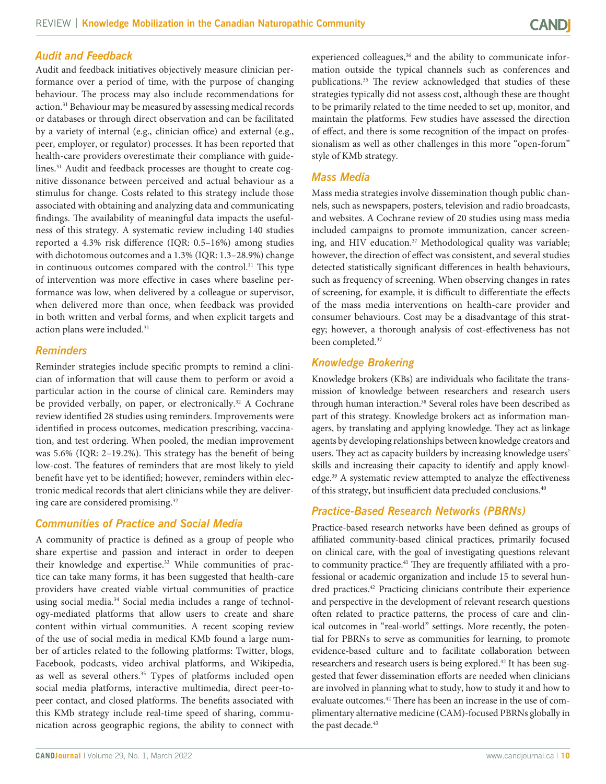#### *Audit and Feedback*

Audit and feedback initiatives objectively measure clinician performance over a period of time, with the purpose of changing behaviour. The process may also include recommendations for action.<sup>31</sup> Behaviour may be measured by assessing medical records or databases or through direct observation and can be facilitated by a variety of internal (e.g., clinician office) and external (e.g., peer, employer, or regulator) processes. It has been reported that health-care providers overestimate their compliance with guidelines.31 Audit and feedback processes are thought to create cognitive dissonance between perceived and actual behaviour as a stimulus for change. Costs related to this strategy include those associated with obtaining and analyzing data and communicating findings. The availability of meaningful data impacts the usefulness of this strategy. A systematic review including 140 studies reported a 4.3% risk difference (IQR: 0.5–16%) among studies with dichotomous outcomes and a 1.3% (IQR: 1.3–28.9%) change in continuous outcomes compared with the control.<sup>31</sup> This type of intervention was more effective in cases where baseline performance was low, when delivered by a colleague or supervisor, when delivered more than once, when feedback was provided in both written and verbal forms, and when explicit targets and action plans were included.<sup>31</sup>

#### *Reminders*

Reminder strategies include specific prompts to remind a clinician of information that will cause them to perform or avoid a particular action in the course of clinical care. Reminders may be provided verbally, on paper, or electronically.<sup>32</sup> A Cochrane review identified 28 studies using reminders. Improvements were identified in process outcomes, medication prescribing, vaccination, and test ordering. When pooled, the median improvement was 5.6% (IQR: 2–19.2%). This strategy has the benefit of being low-cost. The features of reminders that are most likely to yield benefit have yet to be identified; however, reminders within electronic medical records that alert clinicians while they are delivering care are considered promising.32

#### *Communities of Practice and Social Media*

A community of practice is defined as a group of people who share expertise and passion and interact in order to deepen their knowledge and expertise.<sup>33</sup> While communities of practice can take many forms, it has been suggested that health-care providers have created viable virtual communities of practice using social media.34 Social media includes a range of technology-mediated platforms that allow users to create and share content within virtual communities. A recent scoping review of the use of social media in medical KMb found a large number of articles related to the following platforms: Twitter, blogs, Facebook, podcasts, video archival platforms, and Wikipedia, as well as several others.<sup>35</sup> Types of platforms included open social media platforms, interactive multimedia, direct peer-topeer contact, and closed platforms. The benefits associated with this KMb strategy include real-time speed of sharing, communication across geographic regions, the ability to connect with

experienced colleagues,<sup>36</sup> and the ability to communicate information outside the typical channels such as conferences and publications.<sup>35</sup> The review acknowledged that studies of these strategies typically did not assess cost, although these are thought to be primarily related to the time needed to set up, monitor, and maintain the platforms. Few studies have assessed the direction of effect, and there is some recognition of the impact on professionalism as well as other challenges in this more "open-forum" style of KMb strategy.

#### *Mass Media*

Mass media strategies involve dissemination though public channels, such as newspapers, posters, television and radio broadcasts, and websites. A Cochrane review of 20 studies using mass media included campaigns to promote immunization, cancer screening, and HIV education.<sup>37</sup> Methodological quality was variable; however, the direction of effect was consistent, and several studies detected statistically significant differences in health behaviours, such as frequency of screening. When observing changes in rates of screening, for example, it is difficult to differentiate the effects of the mass media interventions on health-care provider and consumer behaviours. Cost may be a disadvantage of this strategy; however, a thorough analysis of cost-effectiveness has not been completed.37

#### *Knowledge Brokering*

Knowledge brokers (KBs) are individuals who facilitate the transmission of knowledge between researchers and research users through human interaction.<sup>38</sup> Several roles have been described as part of this strategy. Knowledge brokers act as information managers, by translating and applying knowledge. They act as linkage agents by developing relationships between knowledge creators and users. They act as capacity builders by increasing knowledge users' skills and increasing their capacity to identify and apply knowledge.39 A systematic review attempted to analyze the effectiveness of this strategy, but insufficient data precluded conclusions.40

#### *Practice-Based Research Networks (PBRNs)*

Practice-based research networks have been defined as groups of affiliated community-based clinical practices, primarily focused on clinical care, with the goal of investigating questions relevant to community practice.<sup>41</sup> They are frequently affiliated with a professional or academic organization and include 15 to several hundred practices.<sup>42</sup> Practicing clinicians contribute their experience and perspective in the development of relevant research questions often related to practice patterns, the process of care and clinical outcomes in "real-world" settings. More recently, the potential for PBRNs to serve as communities for learning, to promote evidence-based culture and to facilitate collaboration between researchers and research users is being explored.<sup>42</sup> It has been suggested that fewer dissemination efforts are needed when clinicians are involved in planning what to study, how to study it and how to evaluate outcomes.42 There has been an increase in the use of complimentary alternative medicine (CAM)-focused PBRNs globally in the past decade.<sup>43</sup>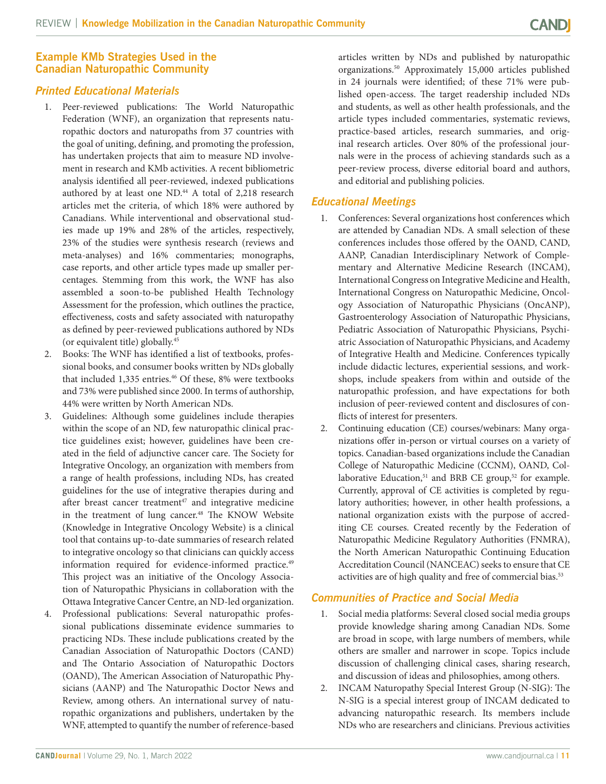#### **Example KMb Strategies Used in the Canadian Naturopathic Community**

#### *Printed Educational Materials*

- 1. Peer-reviewed publications: The World Naturopathic Federation (WNF), an organization that represents naturopathic doctors and naturopaths from 37 countries with the goal of uniting, defining, and promoting the profession, has undertaken projects that aim to measure ND involvement in research and KMb activities. A recent bibliometric analysis identified all peer-reviewed, indexed publications authored by at least one ND.<sup>44</sup> A total of 2,218 research articles met the criteria, of which 18% were authored by Canadians. While interventional and observational studies made up 19% and 28% of the articles, respectively, 23% of the studies were synthesis research (reviews and meta-analyses) and 16% commentaries; monographs, case reports, and other article types made up smaller percentages. Stemming from this work, the WNF has also assembled a soon-to-be published Health Technology Assessment for the profession, which outlines the practice, effectiveness, costs and safety associated with naturopathy as defined by peer-reviewed publications authored by NDs (or equivalent title) globally.45
- 2. Books: The WNF has identified a list of textbooks, professional books, and consumer books written by NDs globally that included 1,335 entries.<sup>46</sup> Of these, 8% were textbooks and 73% were published since 2000. In terms of authorship, 44% were written by North American NDs.
- 3. Guidelines: Although some guidelines include therapies within the scope of an ND, few naturopathic clinical practice guidelines exist; however, guidelines have been created in the field of adjunctive cancer care. The Society for Integrative Oncology, an organization with members from a range of health professions, including NDs, has created guidelines for the use of integrative therapies during and after breast cancer treatment $47$  and integrative medicine in the treatment of lung cancer.<sup>48</sup> The KNOW Website (Knowledge in Integrative Oncology Website) is a clinical tool that contains up-to-date summaries of research related to integrative oncology so that clinicians can quickly access information required for evidence-informed practice.<sup>49</sup> This project was an initiative of the Oncology Association of Naturopathic Physicians in collaboration with the Ottawa Integrative Cancer Centre, an ND-led organization.
- Professional publications: Several naturopathic professional publications disseminate evidence summaries to practicing NDs. These include publications created by the Canadian Association of Naturopathic Doctors (CAND) and The Ontario Association of Naturopathic Doctors (OAND), The American Association of Naturopathic Physicians (AANP) and The Naturopathic Doctor News and Review, among others. An international survey of naturopathic organizations and publishers, undertaken by the WNF, attempted to quantify the number of reference-based

articles written by NDs and published by naturopathic organizations.50 Approximately 15,000 articles published in 24 journals were identified; of these 71% were published open-access. The target readership included NDs and students, as well as other health professionals, and the article types included commentaries, systematic reviews, practice-based articles, research summaries, and original research articles. Over 80% of the professional journals were in the process of achieving standards such as a peer-review process, diverse editorial board and authors, and editorial and publishing policies.

## *Educational Meetings*

- 1. Conferences: Several organizations host conferences which are attended by Canadian NDs. A small selection of these conferences includes those offered by the OAND, CAND, AANP, Canadian Interdisciplinary Network of Complementary and Alternative Medicine Research (INCAM), International Congress on Integrative Medicine and Health, International Congress on Naturopathic Medicine, Oncology Association of Naturopathic Physicians (OncANP), Gastroenterology Association of Naturopathic Physicians, Pediatric Association of Naturopathic Physicians, Psychiatric Association of Naturopathic Physicians, and Academy of Integrative Health and Medicine. Conferences typically include didactic lectures, experiential sessions, and workshops, include speakers from within and outside of the naturopathic profession, and have expectations for both inclusion of peer-reviewed content and disclosures of conflicts of interest for presenters.
- 2. Continuing education (CE) courses/webinars: Many organizations offer in-person or virtual courses on a variety of topics. Canadian-based organizations include the Canadian College of Naturopathic Medicine (CCNM), OAND, Collaborative Education, $51$  and BRB CE group, $52$  for example. Currently, approval of CE activities is completed by regulatory authorities; however, in other health professions, a national organization exists with the purpose of accrediting CE courses. Created recently by the Federation of Naturopathic Medicine Regulatory Authorities (FNMRA), the North American Naturopathic Continuing Education Accreditation Council (NANCEAC) seeks to ensure that CE activities are of high quality and free of commercial bias.<sup>53</sup>

## *Communities of Practice and Social Media*

- 1. Social media platforms: Several closed social media groups provide knowledge sharing among Canadian NDs. Some are broad in scope, with large numbers of members, while others are smaller and narrower in scope. Topics include discussion of challenging clinical cases, sharing research, and discussion of ideas and philosophies, among others.
- 2. INCAM Naturopathy Special Interest Group (N-SIG): The N-SIG is a special interest group of INCAM dedicated to advancing naturopathic research. Its members include NDs who are researchers and clinicians. Previous activities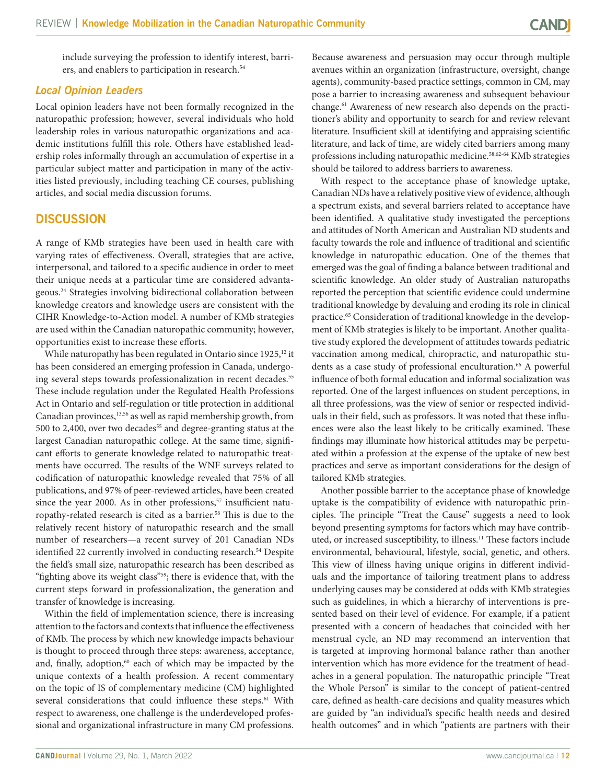include surveying the profession to identify interest, barriers, and enablers to participation in research.<sup>54</sup>

#### *Local Opinion Leaders*

Local opinion leaders have not been formally recognized in the naturopathic profession; however, several individuals who hold leadership roles in various naturopathic organizations and academic institutions fulfill this role. Others have established leadership roles informally through an accumulation of expertise in a particular subject matter and participation in many of the activities listed previously, including teaching CE courses, publishing articles, and social media discussion forums.

## **DISCUSSION**

A range of KMb strategies have been used in health care with varying rates of effectiveness. Overall, strategies that are active, interpersonal, and tailored to a specific audience in order to meet their unique needs at a particular time are considered advantageous.24 Strategies involving bidirectional collaboration between knowledge creators and knowledge users are consistent with the CIHR Knowledge-to-Action model. A number of KMb strategies are used within the Canadian naturopathic community; however, opportunities exist to increase these efforts.

While naturopathy has been regulated in Ontario since 1925,<sup>12</sup> it has been considered an emerging profession in Canada, undergoing several steps towards professionalization in recent decades.<sup>55</sup> These include regulation under the Regulated Health Professions Act in Ontario and self-regulation or title protection in additional Canadian provinces,<sup>13,56</sup> as well as rapid membership growth, from 500 to 2,400, over two decades<sup>55</sup> and degree-granting status at the largest Canadian naturopathic college. At the same time, significant efforts to generate knowledge related to naturopathic treatments have occurred. The results of the WNF surveys related to codification of naturopathic knowledge revealed that 75% of all publications, and 97% of peer-reviewed articles, have been created since the year 2000. As in other professions, $57$  insufficient naturopathy-related research is cited as a barrier.<sup>58</sup> This is due to the relatively recent history of naturopathic research and the small number of researchers—a recent survey of 201 Canadian NDs identified 22 currently involved in conducting research.<sup>54</sup> Despite the field's small size, naturopathic research has been described as "fighting above its weight class"<sup>59</sup>; there is evidence that, with the current steps forward in professionalization, the generation and transfer of knowledge is increasing.

Within the field of implementation science, there is increasing attention to the factors and contexts that influence the effectiveness of KMb. The process by which new knowledge impacts behaviour is thought to proceed through three steps: awareness, acceptance, and, finally, adoption,<sup>60</sup> each of which may be impacted by the unique contexts of a health profession. A recent commentary on the topic of IS of complementary medicine (CM) highlighted several considerations that could influence these steps.<sup>61</sup> With respect to awareness, one challenge is the underdeveloped professional and organizational infrastructure in many CM professions. Because awareness and persuasion may occur through multiple avenues within an organization (infrastructure, oversight, change agents), community-based practice settings, common in CM, may pose a barrier to increasing awareness and subsequent behaviour change.<sup>61</sup> Awareness of new research also depends on the practitioner's ability and opportunity to search for and review relevant literature. Insufficient skill at identifying and appraising scientific literature, and lack of time, are widely cited barriers among many professions including naturopathic medicine.58,62-64 KMb strategies should be tailored to address barriers to awareness.

With respect to the acceptance phase of knowledge uptake, Canadian NDs have a relatively positive view of evidence, although a spectrum exists, and several barriers related to acceptance have been identified. A qualitative study investigated the perceptions and attitudes of North American and Australian ND students and faculty towards the role and influence of traditional and scientific knowledge in naturopathic education. One of the themes that emerged was the goal of finding a balance between traditional and scientific knowledge. An older study of Australian naturopaths reported the perception that scientific evidence could undermine traditional knowledge by devaluing and eroding its role in clinical practice.<sup>65</sup> Consideration of traditional knowledge in the development of KMb strategies is likely to be important. Another qualitative study explored the development of attitudes towards pediatric vaccination among medical, chiropractic, and naturopathic students as a case study of professional enculturation.<sup>66</sup> A powerful influence of both formal education and informal socialization was reported. One of the largest influences on student perceptions, in all three professions, was the view of senior or respected individuals in their field, such as professors. It was noted that these influences were also the least likely to be critically examined. These findings may illuminate how historical attitudes may be perpetuated within a profession at the expense of the uptake of new best practices and serve as important considerations for the design of tailored KMb strategies.

Another possible barrier to the acceptance phase of knowledge uptake is the compatibility of evidence with naturopathic principles. The principle "Treat the Cause" suggests a need to look beyond presenting symptoms for factors which may have contributed, or increased susceptibility, to illness.11 These factors include environmental, behavioural, lifestyle, social, genetic, and others. This view of illness having unique origins in different individuals and the importance of tailoring treatment plans to address underlying causes may be considered at odds with KMb strategies such as guidelines, in which a hierarchy of interventions is presented based on their level of evidence. For example, if a patient presented with a concern of headaches that coincided with her menstrual cycle, an ND may recommend an intervention that is targeted at improving hormonal balance rather than another intervention which has more evidence for the treatment of headaches in a general population. The naturopathic principle "Treat the Whole Person" is similar to the concept of patient-centred care, defined as health-care decisions and quality measures which are guided by "an individual's specific health needs and desired health outcomes" and in which "patients are partners with their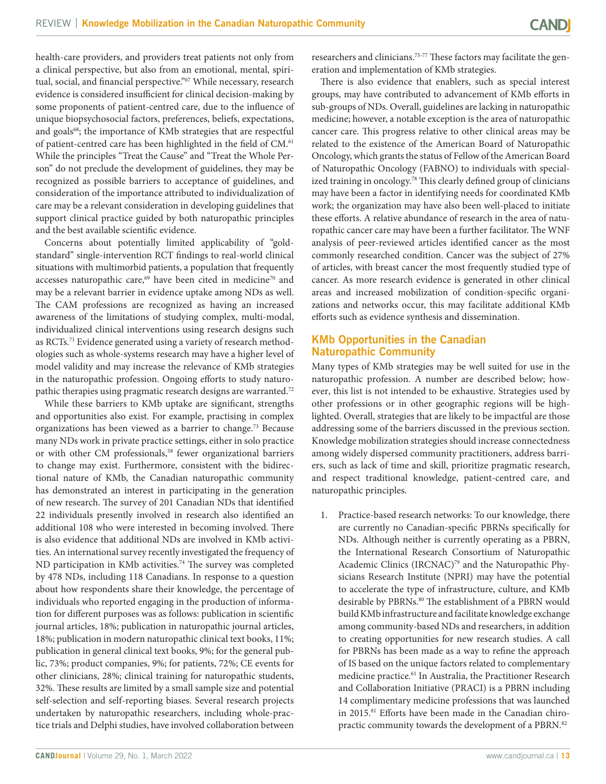health-care providers, and providers treat patients not only from a clinical perspective, but also from an emotional, mental, spiritual, social, and financial perspective."<sup>67</sup> While necessary, research evidence is considered insufficient for clinical decision-making by some proponents of patient-centred care, due to the influence of unique biopsychosocial factors, preferences, beliefs, expectations, and goals<sup>68</sup>; the importance of KMb strategies that are respectful of patient-centred care has been highlighted in the field of CM.<sup>61</sup> While the principles "Treat the Cause" and "Treat the Whole Person" do not preclude the development of guidelines, they may be recognized as possible barriers to acceptance of guidelines, and consideration of the importance attributed to individualization of care may be a relevant consideration in developing guidelines that support clinical practice guided by both naturopathic principles and the best available scientific evidence.

Concerns about potentially limited applicability of "goldstandard" single-intervention RCT findings to real-world clinical situations with multimorbid patients, a population that frequently accesses naturopathic care,<sup>69</sup> have been cited in medicine<sup>70</sup> and may be a relevant barrier in evidence uptake among NDs as well. The CAM professions are recognized as having an increased awareness of the limitations of studying complex, multi-modal, individualized clinical interventions using research designs such as RCTs.71 Evidence generated using a variety of research methodologies such as whole-systems research may have a higher level of model validity and may increase the relevance of KMb strategies in the naturopathic profession. Ongoing efforts to study naturopathic therapies using pragmatic research designs are warranted.<sup>72</sup>

While these barriers to KMb uptake are significant, strengths and opportunities also exist. For example, practising in complex organizations has been viewed as a barrier to change.73 Because many NDs work in private practice settings, either in solo practice or with other CM professionals,<sup>58</sup> fewer organizational barriers to change may exist. Furthermore, consistent with the bidirectional nature of KMb, the Canadian naturopathic community has demonstrated an interest in participating in the generation of new research. The survey of 201 Canadian NDs that identified 22 individuals presently involved in research also identified an additional 108 who were interested in becoming involved. There is also evidence that additional NDs are involved in KMb activities. An international survey recently investigated the frequency of ND participation in KMb activities.<sup>74</sup> The survey was completed by 478 NDs, including 118 Canadians. In response to a question about how respondents share their knowledge, the percentage of individuals who reported engaging in the production of information for different purposes was as follows: publication in scientific journal articles, 18%; publication in naturopathic journal articles, 18%; publication in modern naturopathic clinical text books, 11%; publication in general clinical text books, 9%; for the general public, 73%; product companies, 9%; for patients, 72%; CE events for other clinicians, 28%; clinical training for naturopathic students, 32%. These results are limited by a small sample size and potential self-selection and self-reporting biases. Several research projects undertaken by naturopathic researchers, including whole-practice trials and Delphi studies, have involved collaboration between

researchers and clinicians.<sup>75-77</sup> These factors may facilitate the generation and implementation of KMb strategies.

There is also evidence that enablers, such as special interest groups, may have contributed to advancement of KMb efforts in sub-groups of NDs. Overall, guidelines are lacking in naturopathic medicine; however, a notable exception is the area of naturopathic cancer care. This progress relative to other clinical areas may be related to the existence of the American Board of Naturopathic Oncology, which grants the status of Fellow of the American Board of Naturopathic Oncology (FABNO) to individuals with specialized training in oncology.78 This clearly defined group of clinicians may have been a factor in identifying needs for coordinated KMb work; the organization may have also been well-placed to initiate these efforts. A relative abundance of research in the area of naturopathic cancer care may have been a further facilitator. The WNF analysis of peer-reviewed articles identified cancer as the most commonly researched condition. Cancer was the subject of 27% of articles, with breast cancer the most frequently studied type of cancer. As more research evidence is generated in other clinical areas and increased mobilization of condition-specific organizations and networks occur, this may facilitate additional KMb efforts such as evidence synthesis and dissemination.

#### **KMb Opportunities in the Canadian Naturopathic Community**

Many types of KMb strategies may be well suited for use in the naturopathic profession. A number are described below; however, this list is not intended to be exhaustive. Strategies used by other professions or in other geographic regions will be highlighted. Overall, strategies that are likely to be impactful are those addressing some of the barriers discussed in the previous section. Knowledge mobilization strategies should increase connectedness among widely dispersed community practitioners, address barriers, such as lack of time and skill, prioritize pragmatic research, and respect traditional knowledge, patient-centred care, and naturopathic principles.

1. Practice-based research networks: To our knowledge, there are currently no Canadian-specific PBRNs specifically for NDs. Although neither is currently operating as a PBRN, the International Research Consortium of Naturopathic Academic Clinics (IRCNAC)<sup>79</sup> and the Naturopathic Physicians Research Institute (NPRI) may have the potential to accelerate the type of infrastructure, culture, and KMb desirable by PBRNs.<sup>80</sup> The establishment of a PBRN would build KMb infrastructure and facilitate knowledge exchange among community-based NDs and researchers, in addition to creating opportunities for new research studies. A call for PBRNs has been made as a way to refine the approach of IS based on the unique factors related to complementary medicine practice.61 In Australia, the Practitioner Research and Collaboration Initiative (PRACI) is a PBRN including 14 complimentary medicine professions that was launched in 2015.<sup>81</sup> Efforts have been made in the Canadian chiropractic community towards the development of a PBRN.<sup>82</sup>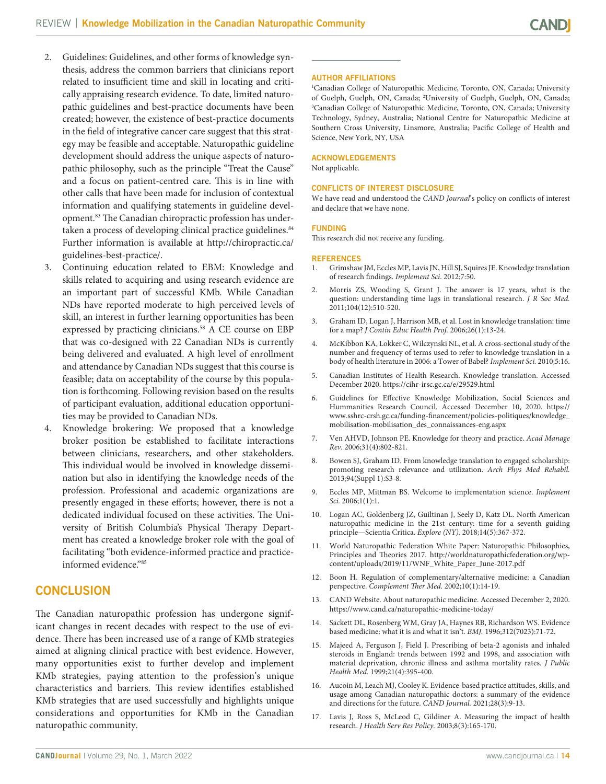- 2. Guidelines: Guidelines, and other forms of knowledge synthesis, address the common barriers that clinicians report related to insufficient time and skill in locating and critically appraising research evidence. To date, limited naturopathic guidelines and best-practice documents have been created; however, the existence of best-practice documents in the field of integrative cancer care suggest that this strategy may be feasible and acceptable. Naturopathic guideline development should address the unique aspects of naturopathic philosophy, such as the principle "Treat the Cause" and a focus on patient-centred care. This is in line with other calls that have been made for inclusion of contextual information and qualifying statements in guideline development.<sup>83</sup> The Canadian chiropractic profession has undertaken a process of developing clinical practice guidelines.<sup>84</sup> Further information is available at [http://chiropractic.ca/](http://chiropractic.ca/guidelines-best-practice/) [guidelines-best-practice/](http://chiropractic.ca/guidelines-best-practice/).
- 3. Continuing education related to EBM: Knowledge and skills related to acquiring and using research evidence are an important part of successful KMb. While Canadian NDs have reported moderate to high perceived levels of skill, an interest in further learning opportunities has been expressed by practicing clinicians.<sup>58</sup> A CE course on EBP that was co-designed with 22 Canadian NDs is currently being delivered and evaluated. A high level of enrollment and attendance by Canadian NDs suggest that this course is feasible; data on acceptability of the course by this population is forthcoming. Following revision based on the results of participant evaluation, additional education opportunities may be provided to Canadian NDs.
- 4. Knowledge brokering: We proposed that a knowledge broker position be established to facilitate interactions between clinicians, researchers, and other stakeholders. This individual would be involved in knowledge dissemination but also in identifying the knowledge needs of the profession. Professional and academic organizations are presently engaged in these efforts; however, there is not a dedicated individual focused on these activities. The University of British Columbia's Physical Therapy Department has created a knowledge broker role with the goal of facilitating "both evidence-informed practice and practiceinformed evidence."85

# **CONCLUSION**

The Canadian naturopathic profession has undergone significant changes in recent decades with respect to the use of evidence. There has been increased use of a range of KMb strategies aimed at aligning clinical practice with best evidence. However, many opportunities exist to further develop and implement KMb strategies, paying attention to the profession's unique characteristics and barriers. This review identifies established KMb strategies that are used successfully and highlights unique considerations and opportunities for KMb in the Canadian naturopathic community.

#### **AUTHOR AFFILIATIONS**

1 Canadian College of Naturopathic Medicine, Toronto, ON, Canada; University of Guelph, Guelph, ON, Canada; <sup>2</sup>University of Guelph, Guelph, ON, Canada;<br><sup>3</sup>Canadian College of Naturonathic Medicine, Toronto, ON, Canada; University Canadian College of Naturopathic Medicine, Toronto, ON, Canada; University Technology, Sydney, Australia; National Centre for Naturopathic Medicine at Southern Cross University, Linsmore, Australia; Pacific College of Health and Science, New York, NY, USA

#### **ACKNOWLEDGEMENTS**

Not applicable.

#### **CONFLICTS OF INTEREST DISCLOSURE**

We have read and understood the *CAND Journal*'s policy on conflicts of interest and declare that we have none.

#### **FUNDING**

This research did not receive any funding.

#### **REFERENCES**

- 1. Grimshaw JM, Eccles MP, Lavis JN, Hill SJ, Squires JE. Knowledge translation of research findings. *Implement Sci*. 2012;7:50.
- 2. Morris ZS, Wooding S, Grant J. The answer is 17 years, what is the question: understanding time lags in translational research. *J R Soc Med.*  2011;104(12):510-520.
- 3. Graham ID, Logan J, Harrison MB, et al. Lost in knowledge translation: time for a map? *J Contin Educ Health Prof.* 2006;26(1):13-24.
- 4. McKibbon KA, Lokker C, Wilczynski NL, et al. A cross-sectional study of the number and frequency of terms used to refer to knowledge translation in a body of health literature in 2006: a Tower of Babel? *Implement Sci.* 2010;5:16.
- 5. Canadian Institutes of Health Research. Knowledge translation. Accessed December 2020. <https://cihr-irsc.gc.ca/e/29529.html>
- 6. Guidelines for Effective Knowledge Mobilization, Social Sciences and Hummanities Research Council. Accessed December 10, 2020. [https://](https://www.sshrc-crsh.gc.ca/funding-financement/policies-politiques/knowledge_mobilisation-mobilisation_des_connaissances-eng.aspx) [www.sshrc-crsh.gc.ca/funding-financement/policies-politiques/knowledge\\_](https://www.sshrc-crsh.gc.ca/funding-financement/policies-politiques/knowledge_mobilisation-mobilisation_des_connaissances-eng.aspx) [mobilisation-mobilisation\\_des\\_connaissances-eng.aspx](https://www.sshrc-crsh.gc.ca/funding-financement/policies-politiques/knowledge_mobilisation-mobilisation_des_connaissances-eng.aspx)
- 7. Ven AHVD, Johnson PE. Knowledge for theory and practice. *Acad Manage Rev.* 2006;31(4):802-821.
- 8. Bowen SJ, Graham ID. From knowledge translation to engaged scholarship: promoting research relevance and utilization. *Arch Phys Med Rehabil.*  2013;94(Suppl 1):S3-8.
- 9. Eccles MP, Mittman BS. Welcome to implementation science. *Implement Sci.* 2006;1(1):1.
- 10. Logan AC, Goldenberg JZ, Guiltinan J, Seely D, Katz DL. North American naturopathic medicine in the 21st century: time for a seventh guiding principle—Scientia Critica. *Explore (NY).* 2018;14(5):367-372.
- 11. World Naturopathic Federation White Paper: Naturopathic Philosophies, Principles and Theories 2017. [http://worldnaturopathicfederation.org/wp](http://worldnaturopathicfederation.org/wp-content/uploads/2019/11/WNF_White_Paper_June-2017.pdf)[content/uploads/2019/11/WNF\\_White\\_Paper\\_June-2017.pdf](http://worldnaturopathicfederation.org/wp-content/uploads/2019/11/WNF_White_Paper_June-2017.pdf)
- 12. Boon H. Regulation of complementary/alternative medicine: a Canadian perspective. *Complement Ther Med.* 2002;10(1):14-19.
- 13. CAND Website. About naturopathic medicine. Accessed December 2, 2020. <https://www.cand.ca/naturopathic-medicine-today/>
- 14. Sackett DL, Rosenberg WM, Gray JA, Haynes RB, Richardson WS. Evidence based medicine: what it is and what it isn't. *BMJ.* 1996;312(7023):71-72.
- 15. Majeed A, Ferguson J, Field J. Prescribing of beta-2 agonists and inhaled steroids in England: trends between 1992 and 1998, and association with material deprivation, chronic illness and asthma mortality rates. *J Public Health Med.* 1999;21(4):395-400.
- 16. Aucoin M, Leach MJ, Cooley K. Evidence-based practice attitudes, skills, and usage among Canadian naturopathic doctors: a summary of the evidence and directions for the future. *CAND Journal.* 2021;28(3):9-13.
- 17. Lavis J, Ross S, McLeod C, Gildiner A. Measuring the impact of health research. *J Health Serv Res Policy.* 2003;8(3):165-170.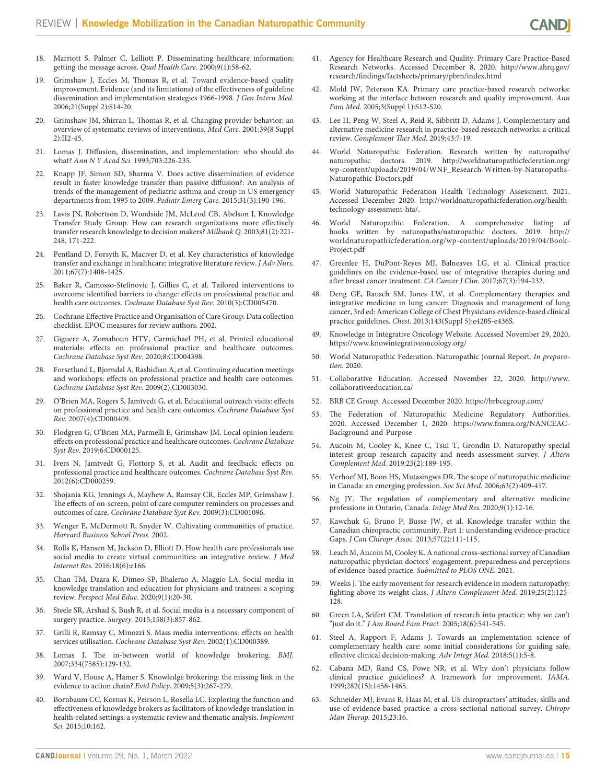- 18. Marriott S, Palmer C, Lelliott P. Disseminating healthcare information: getting the message across. *Qual Health Care.* 2000;9(1):58-62.
- 19. Grimshaw J, Eccles M, Thomas R, et al. Toward evidence-based quality improvement. Evidence (and its limitations) of the effectiveness of guideline dissemination and implementation strategies 1966-1998. *J Gen Intern Med.*  2006;21(Suppl 2):S14-20.
- 20. Grimshaw JM, Shirran L, Thomas R, et al. Changing provider behavior: an overview of systematic reviews of interventions. *Med Care.* 2001;39(8 Suppl 2):II2-45.
- 21. Lomas J. Diffusion, dissemination, and implementation: who should do what? *Ann N Y Acad Sci.* 1993;703:226-235.
- 22. Knapp JF, Simon SD, Sharma V. Does active dissemination of evidence result in faster knowledge transfer than passive diffusion?: An analysis of trends of the management of pediatric asthma and croup in US emergency departments from 1995 to 2009. *Pediatr Emerg Care.* 2015;31(3):190-196.
- 23. Lavis JN, Robertson D, Woodside JM, McLeod CB, Abelson J, Knowledge Transfer Study Group. How can research organizations more effectively transfer research knowledge to decision makers? *Milbank Q.* 2003;81(2):221- 248, 171-222.
- 24. Pentland D, Forsyth K, Maciver D, et al. Key characteristics of knowledge transfer and exchange in healthcare: integrative literature review. *J Adv Nurs.*  2011;67(7):1408-1425.
- 25. Baker R, Camosso-Stefinovic J, Gillies C, et al. Tailored interventions to overcome identified barriers to change: effects on professional practice and health care outcomes. *Cochrane Database Syst Rev.* 2010(3):CD005470.
- 26. Cochrane Effective Practice and Organisation of Care Group: Data collection checklist. EPOC measures for review authors. 2002.
- Giguere A, Zomahoun HTV, Carmichael PH, et al. Printed educational materials: effects on professional practice and healthcare outcomes. *Cochrane Database Syst Rev.* 2020;8:CD004398.
- 28. Forsetlund L, Bjorndal A, Rashidian A, et al. Continuing education meetings and workshops: effects on professional practice and health care outcomes. *Cochrane Database Syst Rev.* 2009(2):CD003030.
- 29. O'Brien MA, Rogers S, Jamtvedt G, et al. Educational outreach visits: effects on professional practice and health care outcomes. *Cochrane Database Syst Rev.* 2007(4):CD000409.
- 30. Flodgren G, O'Brien MA, Parmelli E, Grimshaw JM. Local opinion leaders: effects on professional practice and healthcare outcomes. *Cochrane Database Syst Rev.* 2019;6:CD000125.
- 31. Ivers N, Jamtvedt G, Flottorp S, et al. Audit and feedback: effects on professional practice and healthcare outcomes. *Cochrane Database Syst Rev.*  2012(6):CD000259.
- 32. Shojania KG, Jennings A, Mayhew A, Ramsay CR, Eccles MP, Grimshaw J. The effects of on-screen, point of care computer reminders on processes and outcomes of care. *Cochrane Database Syst Rev.* 2009(3):CD001096.
- 33. Wenger E, McDermott R, Snyder W. Cultivating communities of practice. *Harvard Business School Press.* 2002.
- 34. Rolls K, Hansen M, Jackson D, Elliott D. How health care professionals use social media to create virtual communities: an integrative review. *J Med Internet Res.* 2016;18(6):e166.
- 35. Chan TM, Dzara K, Dimeo SP, Bhalerao A, Maggio LA. Social media in knowledge translation and education for physicians and trainees: a scoping review. *Perspect Med Educ.* 2020;9(1):20-30.
- 36. Steele SR, Arshad S, Bush R, et al. Social media is a necessary component of surgery practice. *Surgery.* 2015;158(3):857-862.
- 37. Grilli R, Ramsay C, Minozzi S. Mass media interventions: effects on health services utilisation. *Cochrane Database Syst Rev.* 2002(1):CD000389.
- 38. Lomas J. The in-between world of knowledge brokering. *BMJ.*  2007;334(7585):129-132.
- 39. Ward V, House A, Hamer S. Knowledge brokering: the missing link in the evidence to action chain? *Evid Policy.* 2009;5(3):267-279.
- 40. Bornbaum CC, Kornas K, Peirson L, Rosella LC. Exploring the function and effectiveness of knowledge brokers as facilitators of knowledge translation in health-related settings: a systematic review and thematic analysis. *Implement Sci.* 2015;10:162.
- 41. Agency for Healthcare Research and Quality. Primary Care Practice-Based Research Networks. Accessed December 8, 2020. [http://www.ahrq.gov/](http://www.ahrq.gov/research/findings/factsheets/primary/pbrn/index.html) [research/findings/factsheets/primary/pbrn/index.html](http://www.ahrq.gov/research/findings/factsheets/primary/pbrn/index.html)
- 42. Mold JW, Peterson KA. Primary care practice-based research networks: working at the interface between research and quality improvement. *Ann Fam Med.* 2005;3(Suppl 1):S12-S20.
- 43. Lee H, Peng W, Steel A, Reid R, Sibbritt D, Adams J. Complementary and alternative medicine research in practice-based research networks: a critical review. *Complement Ther Med.* 2019;43:7-19.
- 44. World Naturopathic Federation. Research written by naturopaths/ naturopathic doctors. 2019. [http://worldnaturopathicfederation.org/](http://worldnaturopathicfederation.org/wp-content/uploads/2019/04/WNF_Research-Written-by-Naturopaths-Naturopathic-Doctors.pdf) [wp-content/uploads/2019/04/WNF\\_Research-Written-by-Naturopaths-](http://worldnaturopathicfederation.org/wp-content/uploads/2019/04/WNF_Research-Written-by-Naturopaths-Naturopathic-Doctors.pdf)[Naturopathic-Doctors.pdf](http://worldnaturopathicfederation.org/wp-content/uploads/2019/04/WNF_Research-Written-by-Naturopaths-Naturopathic-Doctors.pdf)
- 45. World Naturopathic Federation Health Technology Assessment. 2021. Accessed December 2020. [http://worldnaturopathicfederation.org/health](http://worldnaturopathicfederation.org/health-technology-assessment-hta/)[technology-assessment-hta/](http://worldnaturopathicfederation.org/health-technology-assessment-hta/).
- 46. World Naturopathic Federation. A comprehensive listing of books written by naturopaths/naturopathic doctors. 2019. [http://](http://worldnaturopathicfederation.org/wp-content/uploads/2019/04/Book-Project.pdf) [worldnaturopathicfederation.org/wp-content/uploads/2019/04/Book-](http://worldnaturopathicfederation.org/wp-content/uploads/2019/04/Book-Project.pdf)[Project.pdf](http://worldnaturopathicfederation.org/wp-content/uploads/2019/04/Book-Project.pdf)
- 47. Greenlee H, DuPont-Reyes MJ, Balneaves LG, et al. Clinical practice guidelines on the evidence-based use of integrative therapies during and after breast cancer treatment. *CA Cancer J Clin.* 2017;67(3):194-232.
- 48. Deng GE, Rausch SM, Jones LW, et al. Complementary therapies and integrative medicine in lung cancer: Diagnosis and management of lung cancer, 3rd ed: American College of Chest Physicians evidence-based clinical practice guidelines. *Chest.* 2013;143(Suppl 5):e420S-e436S.
- 49. Knowledge in Integrative Oncology Website. Accessed November 29, 2020. <https://www.knowintegrativeoncology.org/>
- 50. World Naturopathic Federation. Naturopathic Journal Report. *In preparation.* 2020.
- 51. Collaborative Education. Accessed November 22, 2020. [http://www.](http://www.collaborativeeducation.ca/) [collaborativeeducation.ca/](http://www.collaborativeeducation.ca/)
- 52. BRB CE Group. Accessed December 2020. <https://brbcegroup.com/>
- 53. The Federation of Naturopathic Medicine Regulatory Authorities. 2020. Accessed December 1, 2020. [https://www.fnmra.org/NANCEAC-](https://www.fnmra.org/NANCEAC-Background-and-Purpose)[Background-and-Purpose](https://www.fnmra.org/NANCEAC-Background-and-Purpose)
- 54. Aucoin M, Cooley K, Knee C, Tsui T, Grondin D. Naturopathy special interest group research capacity and needs assessment survey. *J Altern Complement Med.* 2019;25(2):189-195.
- 55. Verhoef MJ, Boon HS, Mutasingwa DR. The scope of naturopathic medicine in Canada: an emerging profession. *Soc Sci Med.* 2006;63(2):409-417.
- 56. Ng JY. The regulation of complementary and alternative medicine professions in Ontario, Canada. *Integr Med Res.* 2020;9(1):12-16.
- 57. Kawchuk G, Bruno P, Busse JW, et al. Knowledge transfer within the Canadian chiropractic community. Part 1: understanding evidence-practice Gaps. *J Can Chiropr Assoc.* 2013;57(2):111-115.
- 58. Leach M, Aucoin M, Cooley K. A national cross-sectional survey of Canadian naturopathic physician doctors' engagement, preparedness and perceptions of evidence-based practice. *Submitted to PLOS ONE.* 2021.
- 59. Weeks J. The early movement for research evidence in modern naturopathy: fighting above its weight class. *J Altern Complement Med.* 2019;25(2):125- 128.
- 60. Green LA, Seifert CM. Translation of research into practice: why we can't "just do it." *J Am Board Fam Pract.* 2005;18(6):541-545.
- 61. Steel A, Rapport F, Adams J. Towards an implementation science of complementary health care: some initial considerations for guiding safe, effective clinical decision-making. *Adv Integr Med.* 2018;5(1):5-8.
- 62. Cabana MD, Rand CS, Powe NR, et al. Why don't physicians follow clinical practice guidelines? A framework for improvement. *JAMA.*  1999;282(15):1458-1465.
- Schneider MJ, Evans R, Haas M, et al. US chiropractors' attitudes, skills and use of evidence-based practice: a cross-sectional national survey. *Chiropr Man Therap.* 2015;23:16.